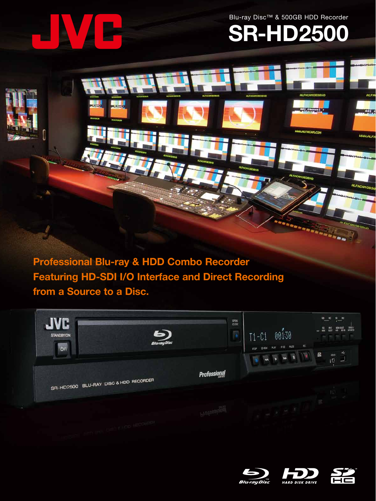Blu-ray Disc™ & 500GB HDD Recorder



# **SR-HD2500**

**ISSLALFACAM.COM** 

**SPI** S

**WWW.ALFE** 

**ALFAn** 

**Professional Blu-ray & HDD Combo Recorder Featuring HD-SDI I/O Interface and Direct Recording from a Source to a Disc.**





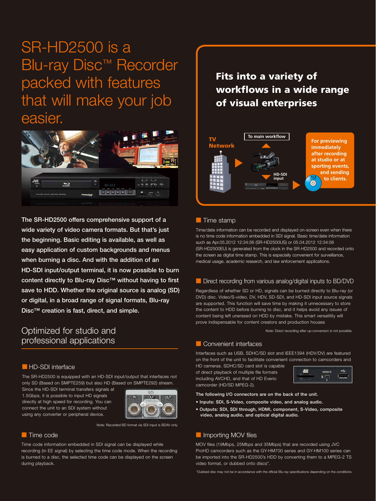# SR-HD2500 is a Blu-ray Disc™ Recorder packed with features that will make your job easier.



The SR-HD2500 offers comprehensive support of a wide variety of video camera formats. But that's just the beginning. Basic editing is available, as well as easy application of custom backgrounds and menus when burning a disc. And with the addition of an HD-SDI input/output terminal, it is now possible to burn content directly to Blu-ray Disc™ without having to first save to HDD. Whether the original source is analog (SD) or digital, in a broad range of signal formats, Blu-ray Disc™ creation is fast, direct, and simple.

## Optimized for studio and professional applications

#### **HD-SDI** interface

The SR-HD2500 is equipped with an HD-SDI input/output that interfaces not only SD (Based on SMPTE259) but also HD (Based on SMPTE292) stream.

Since the HD-SDI terminal transfers signals at 1.5Gbps, it is possible to input HD signals directly at high speed for recording. You can connect the unit to an SDI system without using any converter or peripheral device.



Note: Recorded BD format via SDI input is BDAV only.

#### ■ Time code

Time code information embedded in SDI signal can be displayed while recording (in EE signal) by selecting the time code mode. When the recording is burned to a disc, the selected time code can be displayed on the screen during playback.

Fits into a variety of workflows in a wide range of visual enterprises



#### ■ Time stamp

Time/date information can be recorded and displayed on-screen even when there is no time code information embedded in SDI signal. Basic time/date information such as Apr.05.2012 12:34:56 (SR-HD2500US) or 05.04.2012 12:34:56 (SR-HD2500EU) is generated from the clock in the SR-HD2500 and recorded onto the screen as digital time stamp. This is especially convenient for surveillance, medical usage, academic research, and law enforcement applications.

#### ■ Direct recording from various analog/digital inputs to BD/DVD

Regardless of whether SD or HD, signals can be burned directly to Blu-ray (or DVD) disc. Video/S-video, DV, HDV, SD-SDI, and HD-SDI input source signals are supported. This function will save time by making it unnecessary to store the content to HDD before burning to disc, and it helps avoid any issues of content being left unerased on HDD by mistake. This smart versatility will prove indispensable for content creators and production houses

Note: Direct recording after up-conversion is not possible.

#### ■ Convenient interfaces

Interfaces such as USB, SDHC/SD slot and IEEE1394 (HDV/DV) are featured on the front of the unit to facilitate convenient connection to camcorders and

HD cameras. SDHC/SD card slot is capable of direct playback of multiple file formats including AVCHD, and that of HD Everio camcorder (HD/SD MPEG-2).

|--|--|--|--|

The following I/O connectors are on the back of the unit.

- Inputs: SDI, S-Video, composite video, and analog audio.
- Outputs: SDI, SDI through, HDMI, component, S-Video, composite video, analog audio, and optical digital audio.

#### ■ Importing MOV files

MOV files (19Mbps, 25Mbps and 35Mbps) that are recorded using JVC ProHD camcorders such as the GY-HM700 series and GY-HM100 series can be imported into the SR-HD2500's HDD by converting them to a MPEG-2 TS video format, or dubbed onto discs\*.

\*Dubbed disc may not be in accordance with the official Blu-ray specifications depending on the conditions.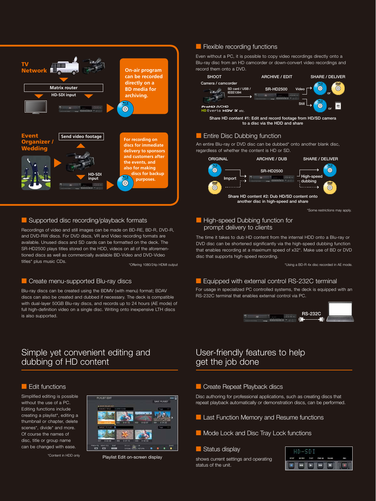

#### ■ Supported disc recording/playback formats

Recordings of video and still images can be made on BD-RE, BD-R, DVD-R, and DVD-RW discs. For DVD discs, VR and Video recording formats are available. Unused discs and SD cards can be formatted on the deck. The SR-HD2500 plays titles stored on the HDD, videos on all of the aforementioned discs as well as commercially available BD-Video and DVD-Video titles\* plus music CDs.

#### ■ Create menu-supported Blu-ray discs

Blu-ray discs can be created using the BDMV (with menu) format; BDAV discs can also be created and dubbed if necessary. The deck is compatible with dual-layer 50GB Blu-ray discs, and records up to 24 hours (AE mode) of full high-definition video on a single disc. Writing onto inexpensive LTH discs is also supported.

#### ■ Flexible recording functions

Even without a PC, it is possible to copy video recordings directly onto a Blu-ray disc from an HD camcorder or down-convert video recordings and record them onto a DVD.



Share HD content #1: Edit and record footage from HD/SD camera to a disc via the HDD and share

#### ■ Entire Disc Dubbing function

An entire Blu-ray or DVD disc can be dubbed\* onto another blank disc, regardless of whether the content is HD or SD.



\*Some restrictions may apply.

#### ■ High-speed Dubbing function for prompt delivery to clients

The time it takes to dub HD content from the internal HDD onto a Blu-ray or DVD disc can be shortened significantly via the high-speed dubbing function that enables recording at a maximum speed of x32\*. Make use of BD or DVD disc that supports high-speed recording.

\*Offering 1080/24p HDMI output \*Using a BD-R 4x disc recorded in AE mode.

#### **Equipped with external control RS-232C terminal**

For usage in specialized PC controlled systems, the deck is equipped with an RS-232C terminal that enables external control via PC.



# Simple yet convenient editing and dubbing of HD content

#### ■ Edit functions

Simplified editing is possible without the use of a PC. Editing functions include creating a playlist\*, editing a thumbnail or chapter, delete scenes\*, divide\* and more. Of course the names of disc, title or group name can be changed with ease.

\*Content in HDD only



Playlist Edit on-screen display

# User-friendly features to help get the job done

#### ■ Create Repeat Playback discs

Disc authoring for professional applications, such as creating discs that repeat playback automatically or demonstration discs, can be performed.

- Last Function Memory and Resume functions
- Mode Lock and Disc Tray Lock functions

#### ■ Status display

shows current settings and operating status of the unit.